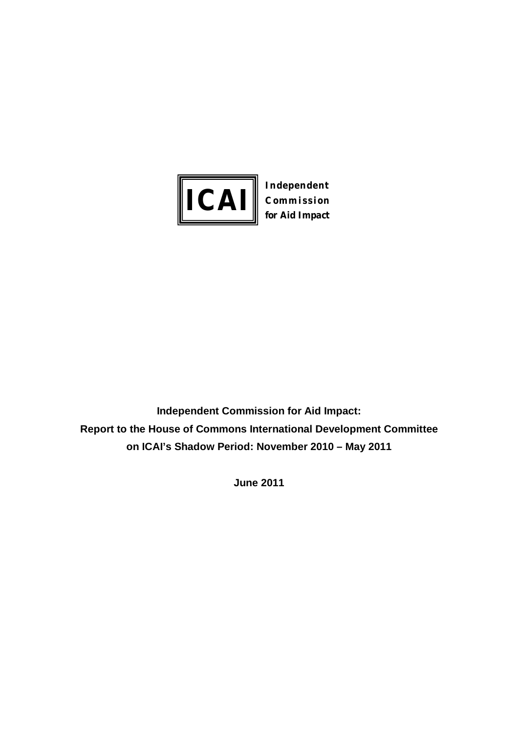

**Commission for Aid Impact**

**Independent Commission for Aid Impact: Report to the House of Commons International Development Committee on ICAI's Shadow Period: November 2010 – May 2011**

**June 2011**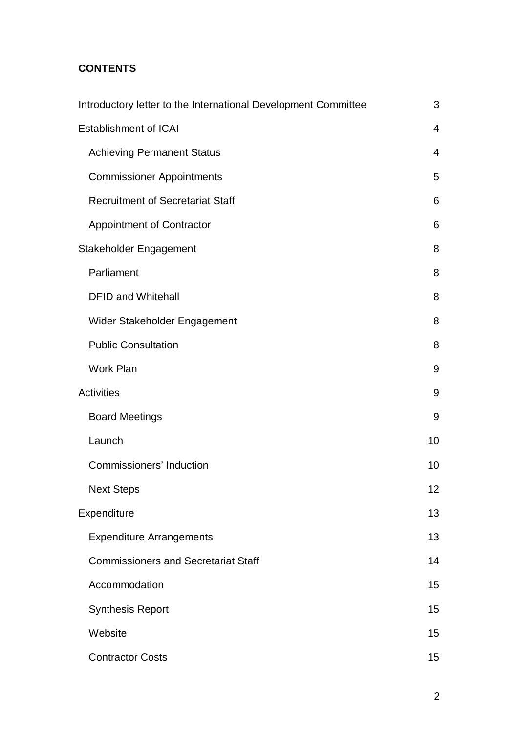# **CONTENTS**

| Introductory letter to the International Development Committee | 3                       |
|----------------------------------------------------------------|-------------------------|
| <b>Establishment of ICAI</b>                                   | $\overline{\mathbf{4}}$ |
| <b>Achieving Permanent Status</b>                              | 4                       |
| <b>Commissioner Appointments</b>                               | 5                       |
| <b>Recruitment of Secretariat Staff</b>                        | 6                       |
| <b>Appointment of Contractor</b>                               | 6                       |
| Stakeholder Engagement                                         | 8                       |
| Parliament                                                     | 8                       |
| <b>DFID and Whitehall</b>                                      | 8                       |
| Wider Stakeholder Engagement                                   | 8                       |
| <b>Public Consultation</b>                                     | 8                       |
| Work Plan                                                      | 9                       |
| <b>Activities</b>                                              | 9                       |
| <b>Board Meetings</b>                                          | 9                       |
| Launch                                                         | 10                      |
| Commissioners' Induction                                       | 10                      |
| <b>Next Steps</b>                                              | 12                      |
| Expenditure                                                    | 13                      |
| <b>Expenditure Arrangements</b>                                | 13                      |
| <b>Commissioners and Secretariat Staff</b>                     | 14                      |
| Accommodation                                                  | 15                      |
| <b>Synthesis Report</b>                                        | 15                      |
| Website                                                        | 15                      |
| <b>Contractor Costs</b>                                        | 15                      |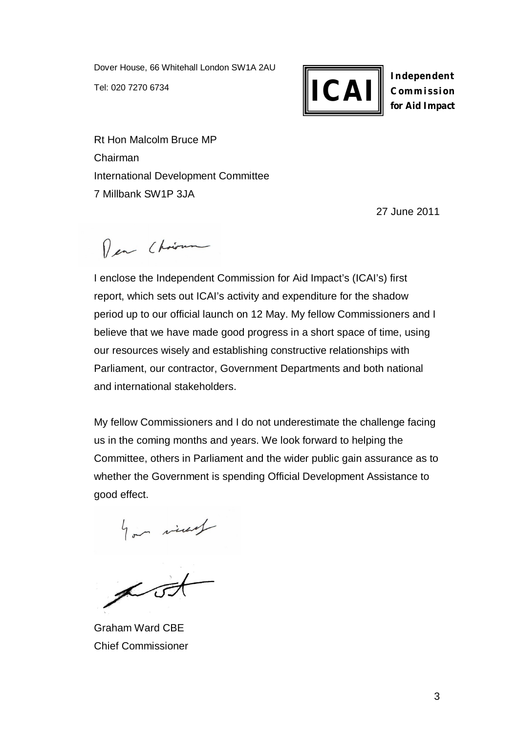Dover House, 66 Whitehall London SW1A 2AU Tel: 020 7270 6734



**Independent Commission for Aid Impact**

Rt Hon Malcolm Bruce MP Chairman International Development Committee 7 Millbank SW1P 3JA

27 June 2011

Per Christman

I enclose the Independent Commission for Aid Impact's (ICAI's) first report, which sets out ICAI's activity and expenditure for the shadow period up to our official launch on 12 May. My fellow Commissioners and I believe that we have made good progress in a short space of time, using our resources wisely and establishing constructive relationships with Parliament, our contractor, Government Departments and both national and international stakeholders.

My fellow Commissioners and I do not underestimate the challenge facing us in the coming months and years. We look forward to helping the Committee, others in Parliament and the wider public gain assurance as to whether the Government is spending Official Development Assistance to good effect.

por vives

Graham Ward CBE Chief Commissioner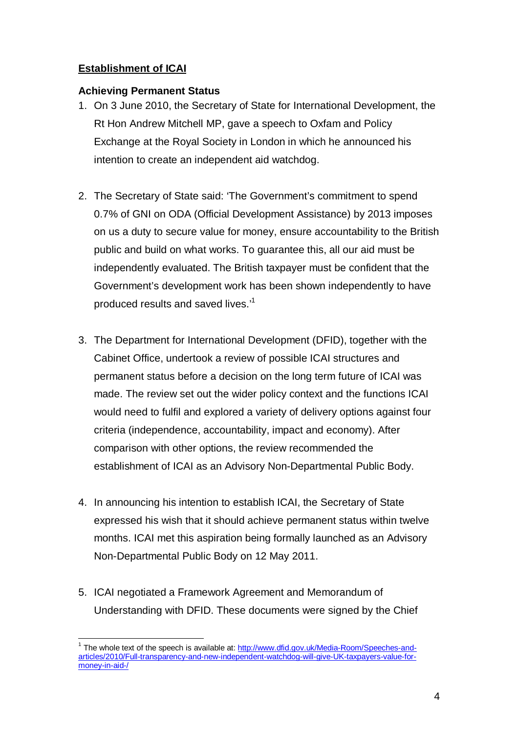# **Establishment of ICAI**

## **Achieving Permanent Status**

- 1. On 3 June 2010, the Secretary of State for International Development, the Rt Hon Andrew Mitchell MP, gave a speech to Oxfam and Policy Exchange at the Royal Society in London in which he announced his intention to create an independent aid watchdog.
- 2. The Secretary of State said: 'The Government's commitment to spend 0.7% of GNI on ODA (Official Development Assistance) by 2013 imposes on us a duty to secure value for money, ensure accountability to the British public and build on what works. To guarantee this, all our aid must be independently evaluated. The British taxpayer must be confident that the Government's development work has been shown independently to have produced results and saved lives.'<sup>1</sup>
- 3. The Department for International Development (DFID), together with the Cabinet Office, undertook a review of possible ICAI structures and permanent status before a decision on the long term future of ICAI was made. The review set out the wider policy context and the functions ICAI would need to fulfil and explored a variety of delivery options against four criteria (independence, accountability, impact and economy). After comparison with other options, the review recommended the establishment of ICAI as an Advisory Non-Departmental Public Body.
- 4. In announcing his intention to establish ICAI, the Secretary of State expressed his wish that it should achieve permanent status within twelve months. ICAI met this aspiration being formally launched as an Advisory Non-Departmental Public Body on 12 May 2011.
- 5. ICAI negotiated a Framework Agreement and Memorandum of Understanding with DFID. These documents were signed by the Chief

 $\overline{1}$ 1 The whole text of the speech is available at: http://www.dfid.gov.uk/Media-Room/Speeches-andarticles/2010/Full-transparency-and-new-independent-watchdog-will-give-UK-taxpayers-value-formoney-in-aid-/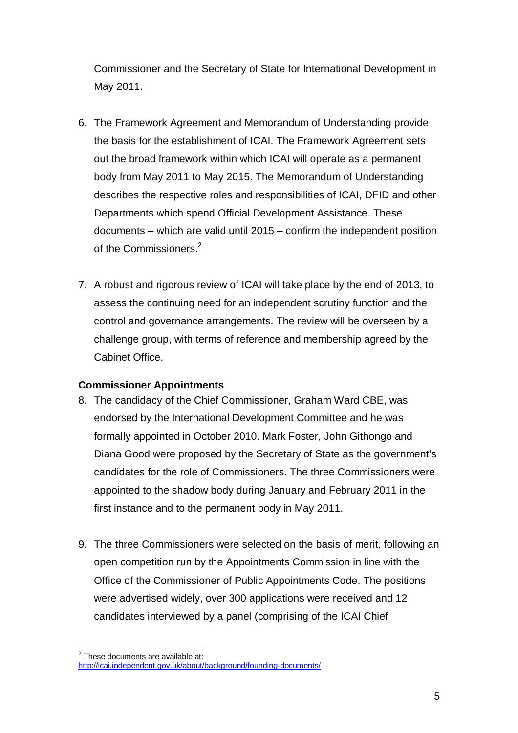Commissioner and the Secretary of State for International Development in May 2011.

- 6. The Framework Agreement and Memorandum of Understanding provide the basis for the establishment of ICAI. The Framework Agreement sets out the broad framework within which ICAI will operate as a permanent body from May 2011 to May 2015. The Memorandum of Understanding describes the respective roles and responsibilities of ICAI, DFID and other Departments which spend Official Development Assistance. These documents – which are valid until 2015 – confirm the independent position of the Commissioners.<sup>2</sup>
- 7. A robust and rigorous review of ICAI will take place by the end of 2013, to assess the continuing need for an independent scrutiny function and the control and governance arrangements. The review will be overseen by a challenge group, with terms of reference and membership agreed by the Cabinet Office.

# **Commissioner Appointments**

- 8. The candidacy of the Chief Commissioner, Graham Ward CBE, was endorsed by the International Development Committee and he was formally appointed in October 2010. Mark Foster, John Githongo and Diana Good were proposed by the Secretary of State as the government's candidates for the role of Commissioners. The three Commissioners were appointed to the shadow body during January and February 2011 in the first instance and to the permanent body in May 2011.
- 9. The three Commissioners were selected on the basis of merit, following an open competition run by the Appointments Commission in line with the Office of the Commissioner of Public Appointments Code. The positions were advertised widely, over 300 applications were received and 12 candidates interviewed by a panel (comprising of the ICAI Chief

<sup>&</sup>lt;u>2</u><br><sup>2</sup> These documents are available at:

http://icai.independent.gov.uk/about/background/founding-documents/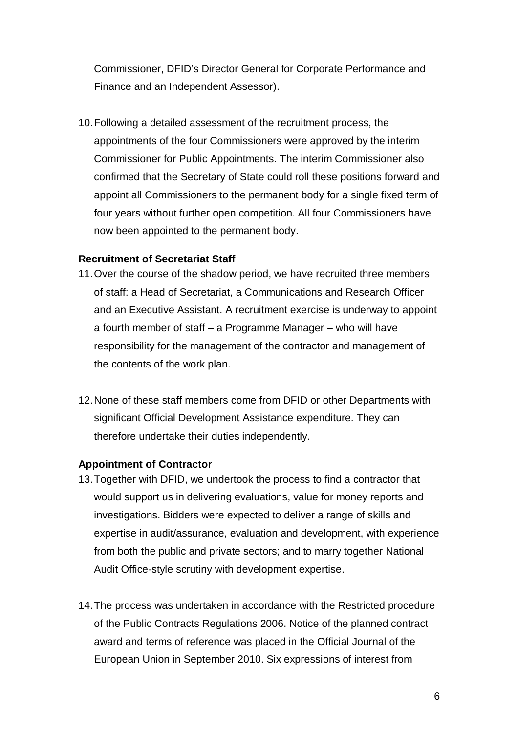Commissioner, DFID's Director General for Corporate Performance and Finance and an Independent Assessor).

10.Following a detailed assessment of the recruitment process, the appointments of the four Commissioners were approved by the interim Commissioner for Public Appointments. The interim Commissioner also confirmed that the Secretary of State could roll these positions forward and appoint all Commissioners to the permanent body for a single fixed term of four years without further open competition. All four Commissioners have now been appointed to the permanent body.

#### **Recruitment of Secretariat Staff**

- 11.Over the course of the shadow period, we have recruited three members of staff: a Head of Secretariat, a Communications and Research Officer and an Executive Assistant. A recruitment exercise is underway to appoint a fourth member of staff – a Programme Manager – who will have responsibility for the management of the contractor and management of the contents of the work plan.
- 12.None of these staff members come from DFID or other Departments with significant Official Development Assistance expenditure. They can therefore undertake their duties independently.

#### **Appointment of Contractor**

- 13.Together with DFID, we undertook the process to find a contractor that would support us in delivering evaluations, value for money reports and investigations. Bidders were expected to deliver a range of skills and expertise in audit/assurance, evaluation and development, with experience from both the public and private sectors; and to marry together National Audit Office-style scrutiny with development expertise.
- 14.The process was undertaken in accordance with the Restricted procedure of the Public Contracts Regulations 2006. Notice of the planned contract award and terms of reference was placed in the Official Journal of the European Union in September 2010. Six expressions of interest from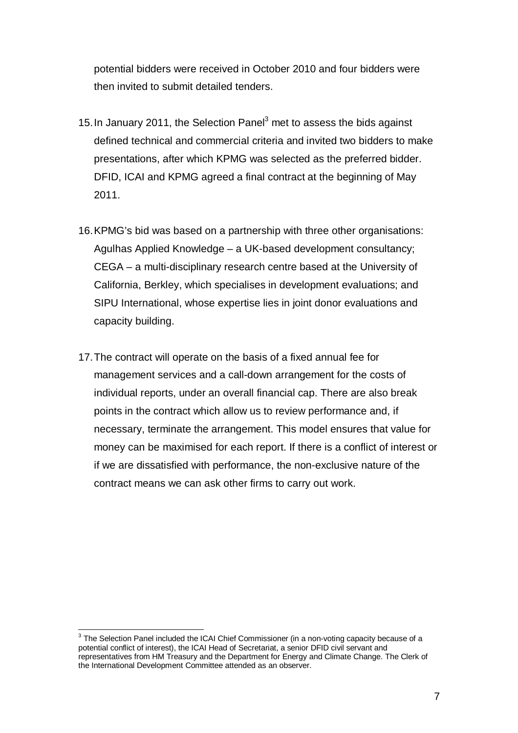potential bidders were received in October 2010 and four bidders were then invited to submit detailed tenders.

- 15. In January 2011, the Selection Panel<sup>3</sup> met to assess the bids against defined technical and commercial criteria and invited two bidders to make presentations, after which KPMG was selected as the preferred bidder. DFID, ICAI and KPMG agreed a final contract at the beginning of May 2011.
- 16.KPMG's bid was based on a partnership with three other organisations: Agulhas Applied Knowledge – a UK-based development consultancy; CEGA – a multi-disciplinary research centre based at the University of California, Berkley, which specialises in development evaluations; and SIPU International, whose expertise lies in joint donor evaluations and capacity building.
- 17.The contract will operate on the basis of a fixed annual fee for management services and a call-down arrangement for the costs of individual reports, under an overall financial cap. There are also break points in the contract which allow us to review performance and, if necessary, terminate the arrangement. This model ensures that value for money can be maximised for each report. If there is a conflict of interest or if we are dissatisfied with performance, the non-exclusive nature of the contract means we can ask other firms to carry out work.

 3 The Selection Panel included the ICAI Chief Commissioner (in a non-voting capacity because of a potential conflict of interest), the ICAI Head of Secretariat, a senior DFID civil servant and representatives from HM Treasury and the Department for Energy and Climate Change. The Clerk of the International Development Committee attended as an observer.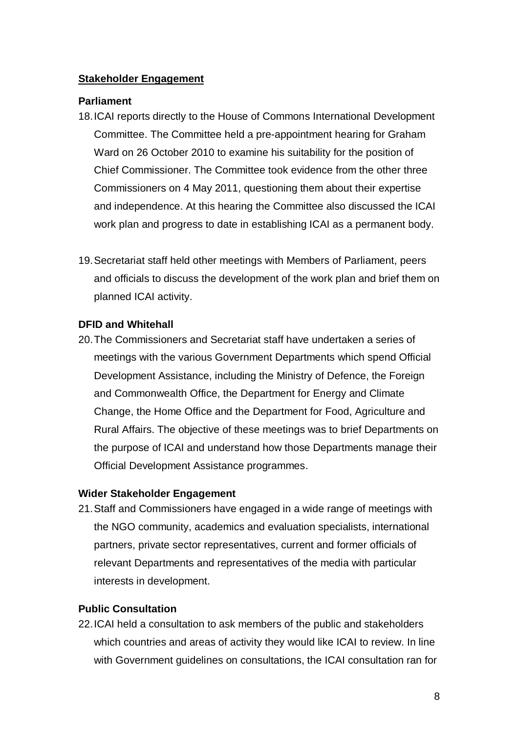# **Stakeholder Engagement**

#### **Parliament**

- 18.ICAI reports directly to the House of Commons International Development Committee. The Committee held a pre-appointment hearing for Graham Ward on 26 October 2010 to examine his suitability for the position of Chief Commissioner. The Committee took evidence from the other three Commissioners on 4 May 2011, questioning them about their expertise and independence. At this hearing the Committee also discussed the ICAI work plan and progress to date in establishing ICAI as a permanent body.
- 19.Secretariat staff held other meetings with Members of Parliament, peers and officials to discuss the development of the work plan and brief them on planned ICAI activity.

#### **DFID and Whitehall**

20.The Commissioners and Secretariat staff have undertaken a series of meetings with the various Government Departments which spend Official Development Assistance, including the Ministry of Defence, the Foreign and Commonwealth Office, the Department for Energy and Climate Change, the Home Office and the Department for Food, Agriculture and Rural Affairs. The objective of these meetings was to brief Departments on the purpose of ICAI and understand how those Departments manage their Official Development Assistance programmes.

#### **Wider Stakeholder Engagement**

21.Staff and Commissioners have engaged in a wide range of meetings with the NGO community, academics and evaluation specialists, international partners, private sector representatives, current and former officials of relevant Departments and representatives of the media with particular interests in development.

#### **Public Consultation**

22.ICAI held a consultation to ask members of the public and stakeholders which countries and areas of activity they would like ICAI to review. In line with Government guidelines on consultations, the ICAI consultation ran for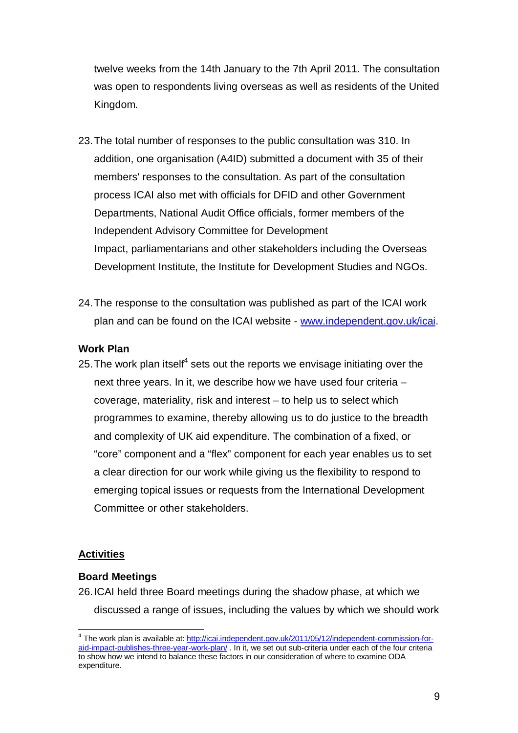twelve weeks from the 14th January to the 7th April 2011. The consultation was open to respondents living overseas as well as residents of the United Kingdom.

- 23.The total number of responses to the public consultation was 310. In addition, one organisation (A4ID) submitted a document with 35 of their members' responses to the consultation. As part of the consultation process ICAI also met with officials for DFID and other Government Departments, National Audit Office officials, former members of the Independent Advisory Committee for Development Impact, parliamentarians and other stakeholders including the Overseas Development Institute, the Institute for Development Studies and NGOs.
- 24.The response to the consultation was published as part of the ICAI work plan and can be found on the ICAI website - www.independent.gov.uk/icai.

#### **Work Plan**

25. The work plan itself<sup>4</sup> sets out the reports we envisage initiating over the next three years. In it, we describe how we have used four criteria – coverage, materiality, risk and interest – to help us to select which programmes to examine, thereby allowing us to do justice to the breadth and complexity of UK aid expenditure. The combination of a fixed, or "core" component and a "flex" component for each year enables us to set a clear direction for our work while giving us the flexibility to respond to emerging topical issues or requests from the International Development Committee or other stakeholders.

#### **Activities**

#### **Board Meetings**

26.ICAI held three Board meetings during the shadow phase, at which we discussed a range of issues, including the values by which we should work

 4 The work plan is available at: http://icai.independent.gov.uk/2011/05/12/independent-commission-foraid-impact-publishes-three-year-work-plan/ . In it, we set out sub-criteria under each of the four criteria to show how we intend to balance these factors in our consideration of where to examine ODA expenditure.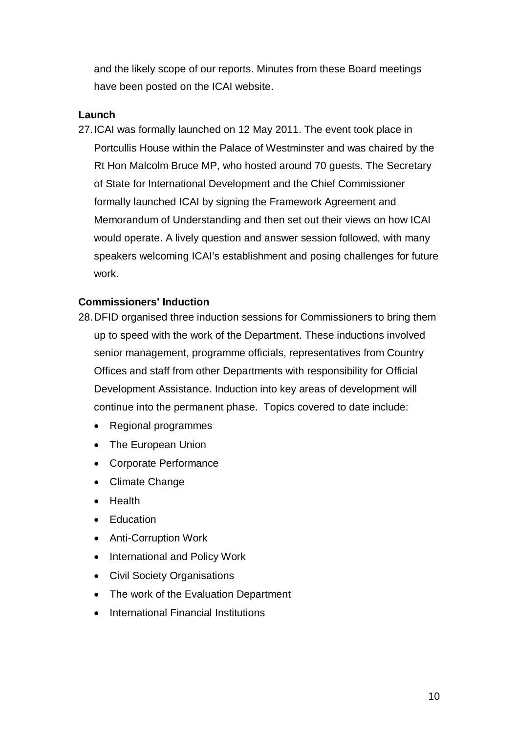and the likely scope of our reports. Minutes from these Board meetings have been posted on the ICAI website.

#### **Launch**

27.ICAI was formally launched on 12 May 2011. The event took place in Portcullis House within the Palace of Westminster and was chaired by the Rt Hon Malcolm Bruce MP, who hosted around 70 guests. The Secretary of State for International Development and the Chief Commissioner formally launched ICAI by signing the Framework Agreement and Memorandum of Understanding and then set out their views on how ICAI would operate. A lively question and answer session followed, with many speakers welcoming ICAI's establishment and posing challenges for future work.

#### **Commissioners' Induction**

- 28.DFID organised three induction sessions for Commissioners to bring them up to speed with the work of the Department. These inductions involved senior management, programme officials, representatives from Country Offices and staff from other Departments with responsibility for Official Development Assistance. Induction into key areas of development will continue into the permanent phase. Topics covered to date include:
	- Regional programmes
	- The European Union
	- Corporate Performance
	- Climate Change
	- Health
	- Education
	- Anti-Corruption Work
	- International and Policy Work
	- Civil Society Organisations
	- The work of the Evaluation Department
	- International Financial Institutions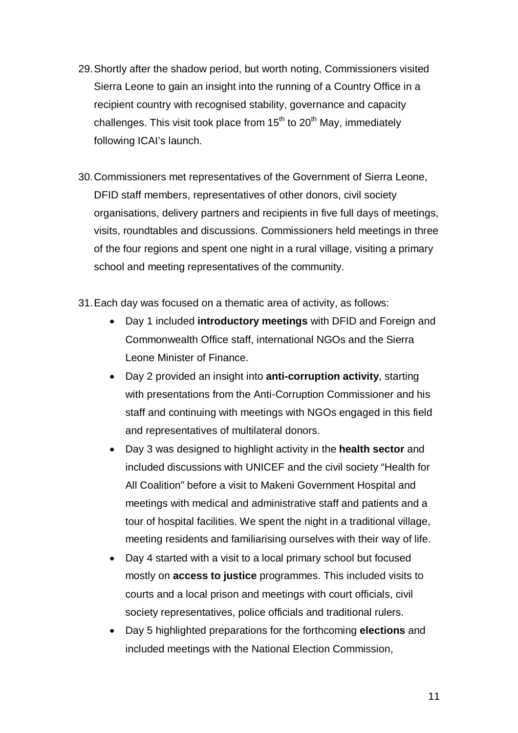- 29.Shortly after the shadow period, but worth noting, Commissioners visited Sierra Leone to gain an insight into the running of a Country Office in a recipient country with recognised stability, governance and capacity challenges. This visit took place from  $15<sup>th</sup>$  to  $20<sup>th</sup>$  May, immediately following ICAI's launch.
- 30.Commissioners met representatives of the Government of Sierra Leone, DFID staff members, representatives of other donors, civil society organisations, delivery partners and recipients in five full days of meetings, visits, roundtables and discussions. Commissioners held meetings in three of the four regions and spent one night in a rural village, visiting a primary school and meeting representatives of the community.
- 31.Each day was focused on a thematic area of activity, as follows:
	- Day 1 included **introductory meetings** with DFID and Foreign and Commonwealth Office staff, international NGOs and the Sierra Leone Minister of Finance.
	- Day 2 provided an insight into **anti-corruption activity**, starting with presentations from the Anti-Corruption Commissioner and his staff and continuing with meetings with NGOs engaged in this field and representatives of multilateral donors.
	- Day 3 was designed to highlight activity in the **health sector** and included discussions with UNICEF and the civil society "Health for All Coalition" before a visit to Makeni Government Hospital and meetings with medical and administrative staff and patients and a tour of hospital facilities. We spent the night in a traditional village, meeting residents and familiarising ourselves with their way of life.
	- Day 4 started with a visit to a local primary school but focused mostly on **access to justice** programmes. This included visits to courts and a local prison and meetings with court officials, civil society representatives, police officials and traditional rulers.
	- Day 5 highlighted preparations for the forthcoming **elections** and included meetings with the National Election Commission,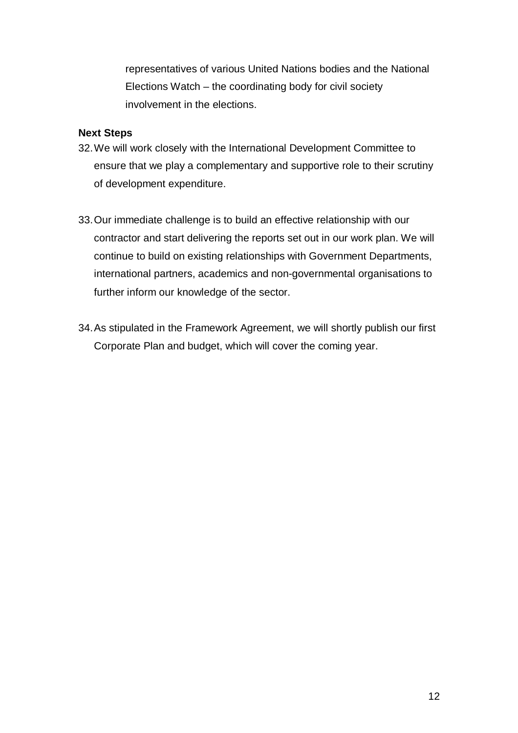representatives of various United Nations bodies and the National Elections Watch – the coordinating body for civil society involvement in the elections.

#### **Next Steps**

- 32.We will work closely with the International Development Committee to ensure that we play a complementary and supportive role to their scrutiny of development expenditure.
- 33.Our immediate challenge is to build an effective relationship with our contractor and start delivering the reports set out in our work plan. We will continue to build on existing relationships with Government Departments, international partners, academics and non-governmental organisations to further inform our knowledge of the sector.
- 34.As stipulated in the Framework Agreement, we will shortly publish our first Corporate Plan and budget, which will cover the coming year.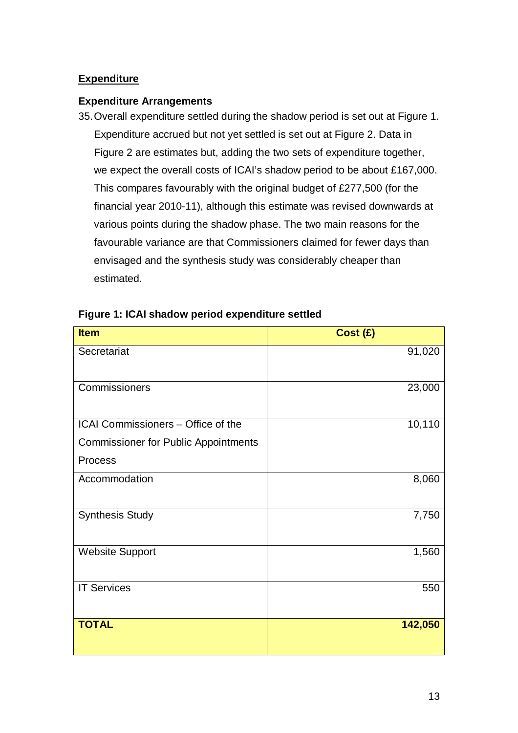# **Expenditure**

#### **Expenditure Arrangements**

35.Overall expenditure settled during the shadow period is set out at Figure 1. Expenditure accrued but not yet settled is set out at Figure 2. Data in Figure 2 are estimates but, adding the two sets of expenditure together, we expect the overall costs of ICAI's shadow period to be about £167,000. This compares favourably with the original budget of £277,500 (for the financial year 2010-11), although this estimate was revised downwards at various points during the shadow phase. The two main reasons for the favourable variance are that Commissioners claimed for fewer days than envisaged and the synthesis study was considerably cheaper than estimated.

| <b>Item</b>                                 | Cost (£) |
|---------------------------------------------|----------|
| Secretariat                                 | 91,020   |
| Commissioners                               | 23,000   |
| ICAI Commissioners - Office of the          | 10,110   |
| <b>Commissioner for Public Appointments</b> |          |
| Process                                     |          |
| Accommodation                               | 8,060    |
| <b>Synthesis Study</b>                      | 7,750    |
| <b>Website Support</b>                      | 1,560    |
| <b>IT Services</b>                          | 550      |
| <b>TOTAL</b>                                | 142,050  |

#### **Figure 1: ICAI shadow period expenditure settled**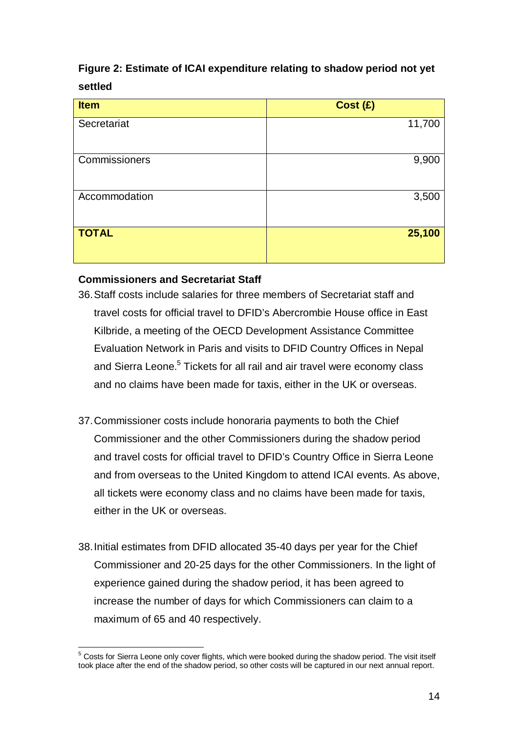# **Figure 2: Estimate of ICAI expenditure relating to shadow period not yet settled**

| <b>Item</b>   | Cost (£) |
|---------------|----------|
| Secretariat   | 11,700   |
| Commissioners | 9,900    |
| Accommodation | 3,500    |
| <b>TOTAL</b>  | 25,100   |

# **Commissioners and Secretariat Staff**

- 36.Staff costs include salaries for three members of Secretariat staff and travel costs for official travel to DFID's Abercrombie House office in East Kilbride, a meeting of the OECD Development Assistance Committee Evaluation Network in Paris and visits to DFID Country Offices in Nepal and Sierra Leone.<sup>5</sup> Tickets for all rail and air travel were economy class and no claims have been made for taxis, either in the UK or overseas.
- 37.Commissioner costs include honoraria payments to both the Chief Commissioner and the other Commissioners during the shadow period and travel costs for official travel to DFID's Country Office in Sierra Leone and from overseas to the United Kingdom to attend ICAI events. As above, all tickets were economy class and no claims have been made for taxis, either in the UK or overseas.
- 38.Initial estimates from DFID allocated 35-40 days per year for the Chief Commissioner and 20-25 days for the other Commissioners. In the light of experience gained during the shadow period, it has been agreed to increase the number of days for which Commissioners can claim to a maximum of 65 and 40 respectively.

 5 Costs for Sierra Leone only cover flights, which were booked during the shadow period. The visit itself took place after the end of the shadow period, so other costs will be captured in our next annual report.